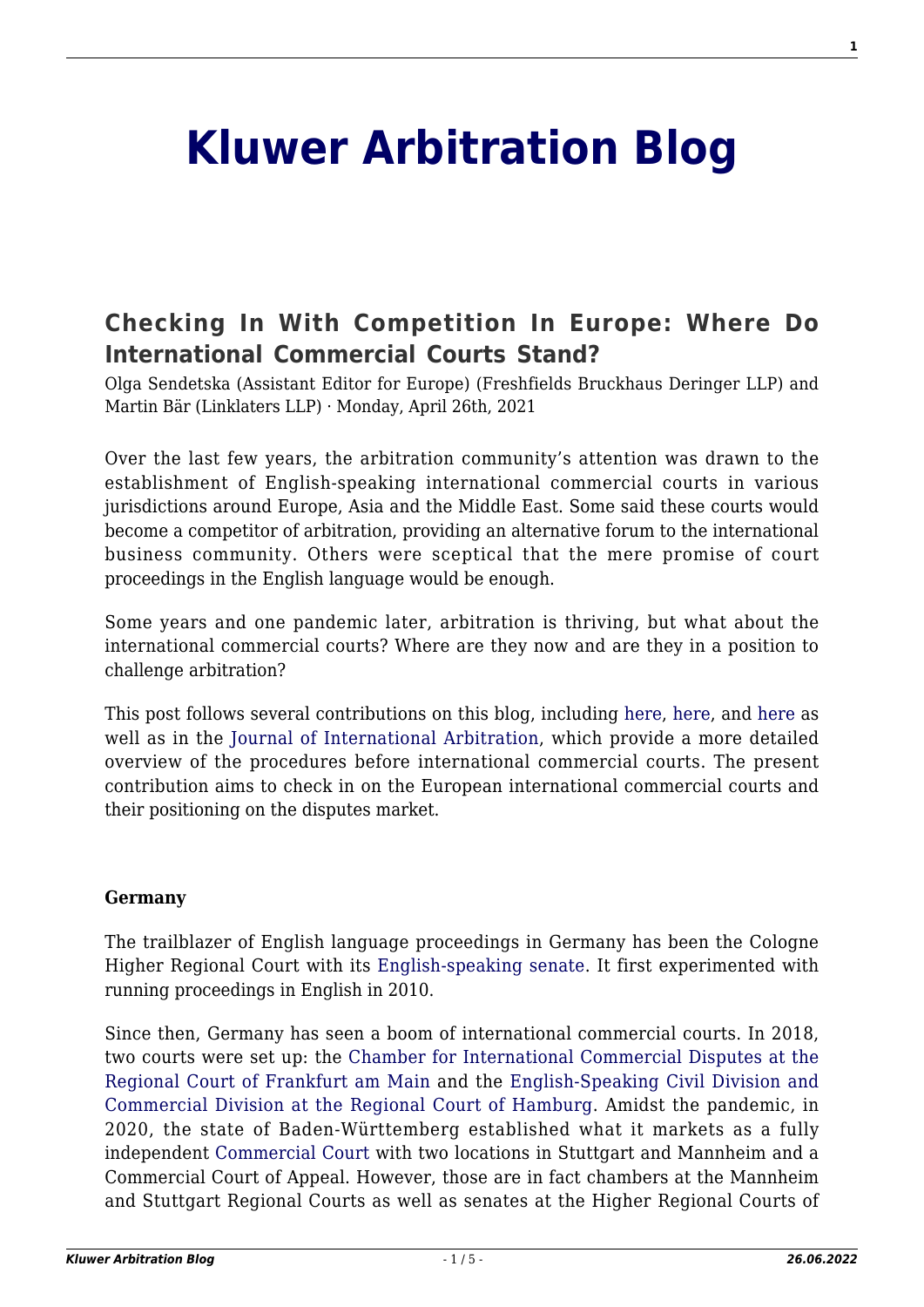# **[Kluwer Arbitration Blog](http://arbitrationblog.kluwerarbitration.com/)**

## **[Checking In With Competition In Europe: Where Do](http://arbitrationblog.kluwerarbitration.com/2021/04/26/checking-in-with-competition-in-europe-where-do-international-commercial-courts-stand-2/) [International Commercial Courts Stand?](http://arbitrationblog.kluwerarbitration.com/2021/04/26/checking-in-with-competition-in-europe-where-do-international-commercial-courts-stand-2/)**

Olga Sendetska (Assistant Editor for Europe) (Freshfields Bruckhaus Deringer LLP) and Martin Bär (Linklaters LLP) · Monday, April 26th, 2021

Over the last few years, the arbitration community's attention was drawn to the establishment of English-speaking international commercial courts in various jurisdictions around Europe, Asia and the Middle East. Some said these courts would become a competitor of arbitration, providing an alternative forum to the international business community. Others were sceptical that the mere promise of court proceedings in the English language would be enough.

Some years and one pandemic later, arbitration is thriving, but what about the international commercial courts? Where are they now and are they in a position to challenge arbitration?

This post follows several contributions on this blog, including [here,](http://arbitrationblog.kluwerarbitration.com/2018/02/14/specialised-chambers-international-commercial-disputes-paris-spotlight/) [here,](http://arbitrationblog.kluwerarbitration.com/2019/03/06/the-european-and-singapore-international-commercial-courts-several-movements-a-single-symphony/) and [here](http://arbitrationblog.kluwerarbitration.com/2018/06/25/the-belgian-government-unveils-its-plan-for-the-brussels-international-business-court-bibc/) as well as in the [Journal of International Arbitration](https://kluwerlawonline.com/journalarticle/Journal+of+International+Arbitration/36.4/JOIA2019022), which provide a more detailed overview of the procedures before international commercial courts. The present contribution aims to check in on the European international commercial courts and their positioning on the disputes market.

#### **Germany**

The trailblazer of English language proceedings in Germany has been the Cologne Higher Regional Court with its [English-speaking senate](https://www.olg-koeln.nrw.de/beh_sprachen/beh_sprache_EN/004_english-speaking_senate/index.php). It first experimented with running proceedings in English in 2010.

Since then, Germany has seen a boom of international commercial courts. In 2018, two courts were set up: the [Chamber for International Commercial Disputes at the](https://ordentliche-gerichtsbarkeit.hessen.de/ordentliche-gerichte/lgb-frankfurt-am-main/lg-frankfurt-am-main/chamber-international) [Regional Court of Frankfurt am Main](https://ordentliche-gerichtsbarkeit.hessen.de/ordentliche-gerichte/lgb-frankfurt-am-main/lg-frankfurt-am-main/chamber-international) and the [English-Speaking Civil Division and](https://justiz.hamburg.de/landgericht-hamburg/zustaendigkeit/) [Commercial Division at the Regional Court of Hamburg](https://justiz.hamburg.de/landgericht-hamburg/zustaendigkeit/). Amidst the pandemic, in 2020, the state of Baden-Württemberg established what it markets as a fully independent [Commercial Court](https://www.commercial-court.de/en/) with two locations in Stuttgart and Mannheim and a Commercial Court of Appeal. However, those are in fact chambers at the Mannheim and Stuttgart Regional Courts as well as senates at the Higher Regional Courts of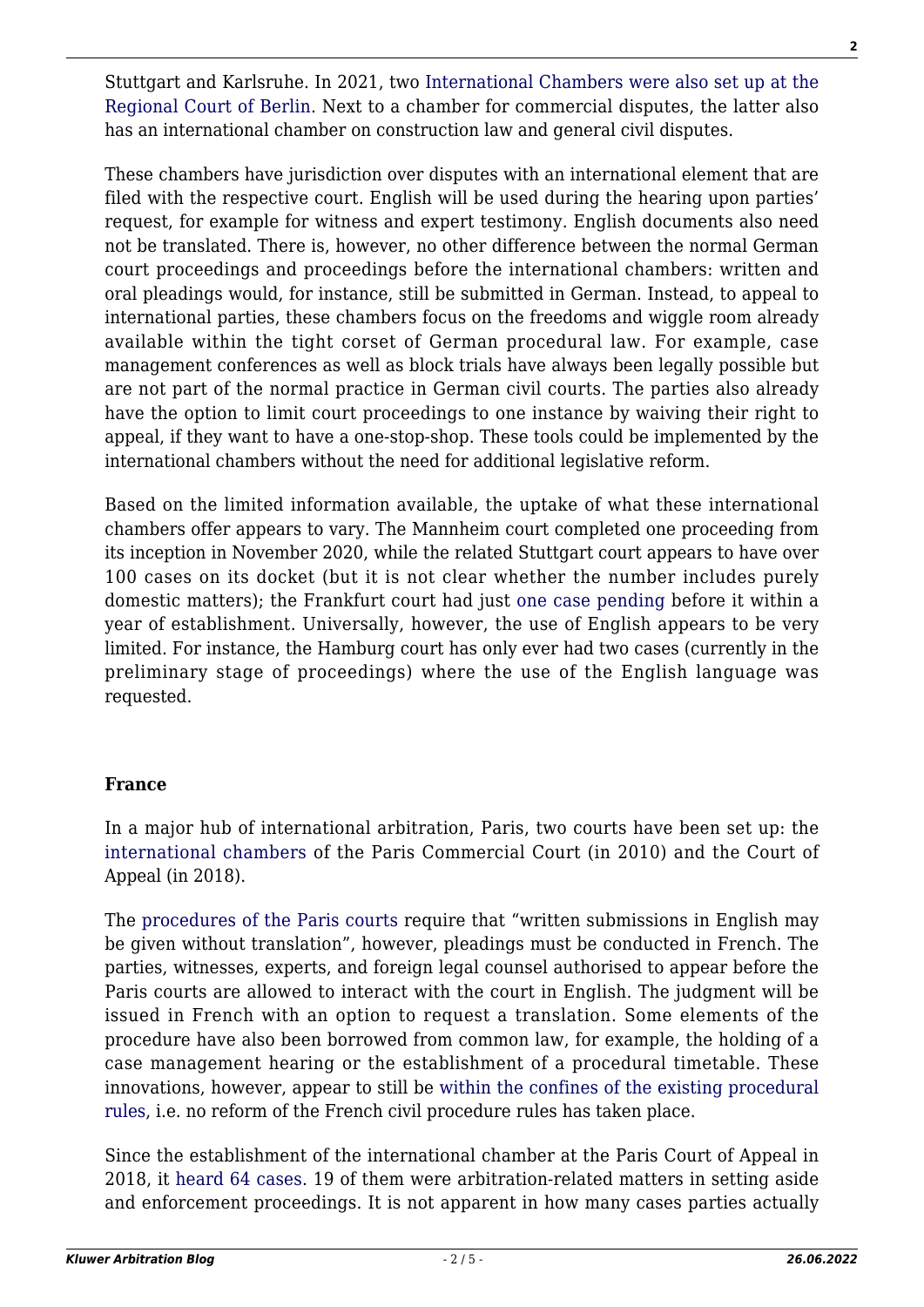Stuttgart and Karlsruhe. In 2021, two [International Chambers were also set up at the](https://www.berlin.de/gerichte/landgericht/das-gericht/zustaendigkeiten/internationale-kammern/artikel.1039251.en.php) [Regional Court of Berlin](https://www.berlin.de/gerichte/landgericht/das-gericht/zustaendigkeiten/internationale-kammern/artikel.1039251.en.php). Next to a chamber for commercial disputes, the latter also has an international chamber on construction law and general civil disputes.

These chambers have jurisdiction over disputes with an international element that are filed with the respective court. English will be used during the hearing upon parties' request, for example for witness and expert testimony. English documents also need not be translated. There is, however, no other difference between the normal German court proceedings and proceedings before the international chambers: written and oral pleadings would, for instance, still be submitted in German. Instead, to appeal to international parties, these chambers focus on the freedoms and wiggle room already available within the tight corset of German procedural law. For example, case management conferences as well as block trials have always been legally possible but are not part of the normal practice in German civil courts. The parties also already have the option to limit court proceedings to one instance by waiving their right to appeal, if they want to have a one-stop-shop. These tools could be implemented by the international chambers without the need for additional legislative reform.

Based on the limited information available, the uptake of what these international chambers offer appears to vary. The Mannheim court completed one proceeding from its inception in November 2020, while the related Stuttgart court appears to have over 100 cases on its docket (but it is not clear whether the number includes purely domestic matters); the Frankfurt court had just [one case pending](https://www.juve.de/nachrichten/verfahren/2019/03/internationale-wirtschaftsprozesse-wer-springt-ein-wenn-london-schwaechelt) before it within a year of establishment. Universally, however, the use of English appears to be very limited. For instance, the Hamburg court has only ever had two cases (currently in the preliminary stage of proceedings) where the use of the English language was requested.

## **France**

In a major hub of international arbitration, Paris, two courts have been set up: the [international chambers](https://www.cours-appel.justice.fr/paris/presentation-des-chambres-commerciales-internationales-de-paris-ccip) of the Paris Commercial Court (in 2010) and the Court of Appeal (in 2018).

The [procedures of the Paris courts](https://www.cours-appel.justice.fr/sites/default/files/2019-04/Traduction%20en%20anglais%20du%20protocole%20CCIP-CA%20-%20V4%20.pdf) require that "written submissions in English may be given without translation", however, pleadings must be conducted in French. The parties, witnesses, experts, and foreign legal counsel authorised to appear before the Paris courts are allowed to interact with the court in English. The judgment will be issued in French with an option to request a translation. Some elements of the procedure have also been borrowed from common law, for example, the holding of a case management hearing or the establishment of a procedural timetable. These innovations, however, appear to still be [within the confines of the existing procedural](https://www.lexology.com/library/detail.aspx?g=6e40b5b4-c4c7-4c29-ad99-b7f9c7bb71ac) [rules,](https://www.lexology.com/library/detail.aspx?g=6e40b5b4-c4c7-4c29-ad99-b7f9c7bb71ac) i.e. no reform of the French civil procedure rules has taken place.

Since the establishment of the international chamber at the Paris Court of Appeal in 2018, it [heard 64 cases.](https://www.cours-appel.justice.fr/paris/decisions-ccip-ca-iccp-ca-judgment?page=0) 19 of them were arbitration-related matters in setting aside and enforcement proceedings. It is not apparent in how many cases parties actually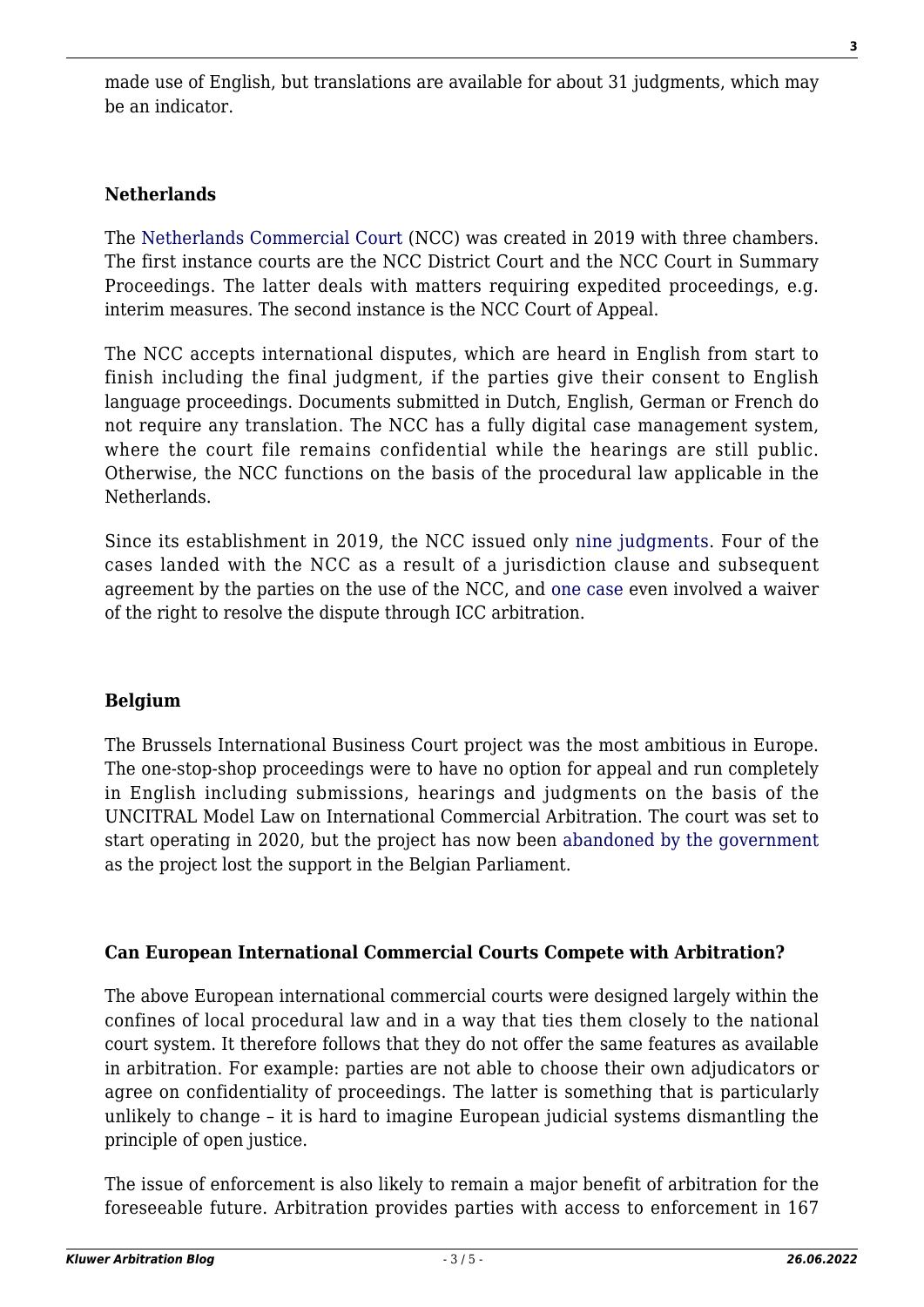made use of English, but translations are available for about 31 judgments, which may be an indicator.

## **Netherlands**

The [Netherlands Commercial Court](https://www.rechtspraak.nl/English/NCC/Pages/who-are-we.aspx) (NCC) was created in 2019 with three chambers. The first instance courts are the NCC District Court and the NCC Court in Summary Proceedings. The latter deals with matters requiring expedited proceedings, e.g. interim measures. The second instance is the NCC Court of Appeal.

The NCC accepts international disputes, which are heard in English from start to finish including the final judgment, if the parties give their consent to English language proceedings. Documents submitted in Dutch, English, German or French do not require any translation. The NCC has a fully digital case management system, where the court file remains confidential while the hearings are still public. Otherwise, the NCC functions on the basis of the procedural law applicable in the Netherlands.

Since its establishment in 2019, the NCC issued only [nine judgments](https://www.rechtspraak.nl/English/NCC/Pages/judgments.aspx). Four of the cases landed with the NCC as a result of a jurisdiction clause and subsequent agreement by the parties on the use of the NCC, and [one case](https://uitspraken.rechtspraak.nl/inziendocument?id=ECLI:NL:RBAMS:2020:1388) even involved a waiver of the right to resolve the dispute through ICC arbitration.

## **Belgium**

The Brussels International Business Court project was the most ambitious in Europe. The one-stop-shop proceedings were to have no option for appeal and run completely in English including submissions, hearings and judgments on the basis of the UNCITRAL Model Law on International Commercial Arbitration. The court was set to start operating in 2020, but the project has now been [abandoned by the government](https://www.lexology.com/library/detail.aspx?g=927dba73-cb0f-4214-9cad-40e8872bfe46) as the project lost the support in the Belgian Parliament.

## **Can European International Commercial Courts Compete with Arbitration?**

The above European international commercial courts were designed largely within the confines of local procedural law and in a way that ties them closely to the national court system. It therefore follows that they do not offer the same features as available in arbitration. For example: parties are not able to choose their own adjudicators or agree on confidentiality of proceedings. The latter is something that is particularly unlikely to change – it is hard to imagine European judicial systems dismantling the principle of open justice.

The issue of enforcement is also likely to remain a major benefit of arbitration for the foreseeable future. Arbitration provides parties with access to enforcement in 167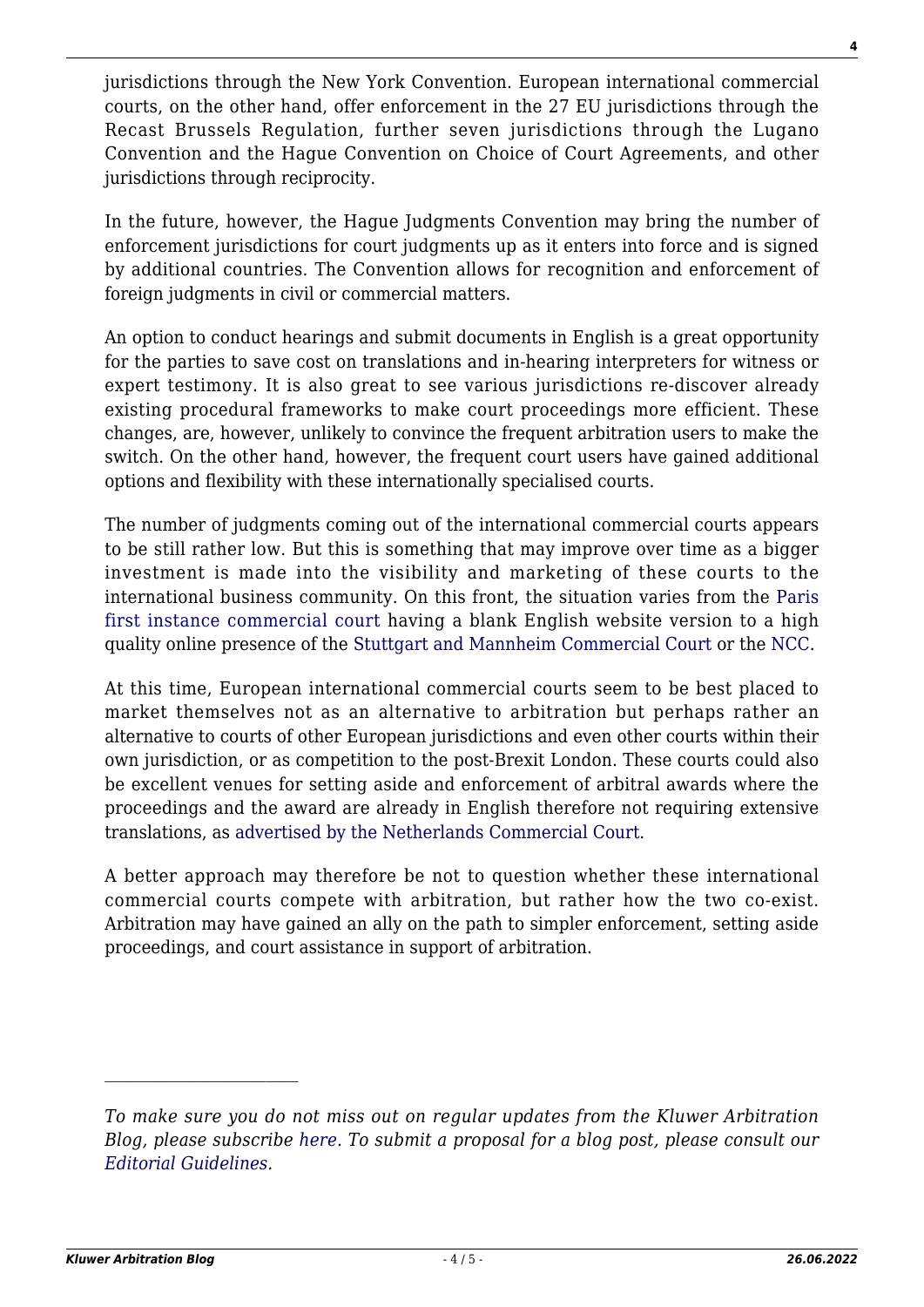jurisdictions through the New York Convention. European international commercial courts, on the other hand, offer enforcement in the 27 EU jurisdictions through the Recast Brussels Regulation, further seven jurisdictions through the Lugano Convention and the Hague Convention on Choice of Court Agreements, and other jurisdictions through reciprocity.

In the future, however, the Hague Judgments Convention may bring the number of enforcement jurisdictions for court judgments up as it enters into force and is signed by additional countries. The Convention allows for recognition and enforcement of foreign judgments in civil or commercial matters.

An option to conduct hearings and submit documents in English is a great opportunity for the parties to save cost on translations and in-hearing interpreters for witness or expert testimony. It is also great to see various jurisdictions re-discover already existing procedural frameworks to make court proceedings more efficient. These changes, are, however, unlikely to convince the frequent arbitration users to make the switch. On the other hand, however, the frequent court users have gained additional options and flexibility with these internationally specialised courts.

The number of judgments coming out of the international commercial courts appears to be still rather low. But this is something that may improve over time as a bigger investment is made into the visibility and marketing of these courts to the international business community. On this front, the situation varies from the [Paris](https://www.tribunal-de-commerce-de-paris.fr/en/home) [first instance commercial court](https://www.tribunal-de-commerce-de-paris.fr/en/home) having a blank English website version to a high quality online presence of the [Stuttgart and Mannheim Commercial Court](https://www.commercial-court.de/en/) or the [NCC.](https://www.rechtspraak.nl/English/NCC/Pages/default.aspx)

At this time, European international commercial courts seem to be best placed to market themselves not as an alternative to arbitration but perhaps rather an alternative to courts of other European jurisdictions and even other courts within their own jurisdiction, or as competition to the post-Brexit London. These courts could also be excellent venues for setting aside and enforcement of arbitral awards where the proceedings and the award are already in English therefore not requiring extensive translations, as [advertised by the Netherlands Commercial Court](https://www.rechtspraak.nl/SiteCollectionDocuments/factsheet-netherlands-commercial-court-and-arbitration.pdf).

A better approach may therefore be not to question whether these international commercial courts compete with arbitration, but rather how the two co-exist. Arbitration may have gained an ally on the path to simpler enforcement, setting aside proceedings, and court assistance in support of arbitration.

*To make sure you do not miss out on regular updates from the Kluwer Arbitration Blog, please subscribe [here](http://arbitrationblog.kluwerarbitration.com/newsletter/). To submit a proposal for a blog post, please consult our [Editorial Guidelines.](http://arbitrationblog.kluwerarbitration.com/editorial-guidelines/)*